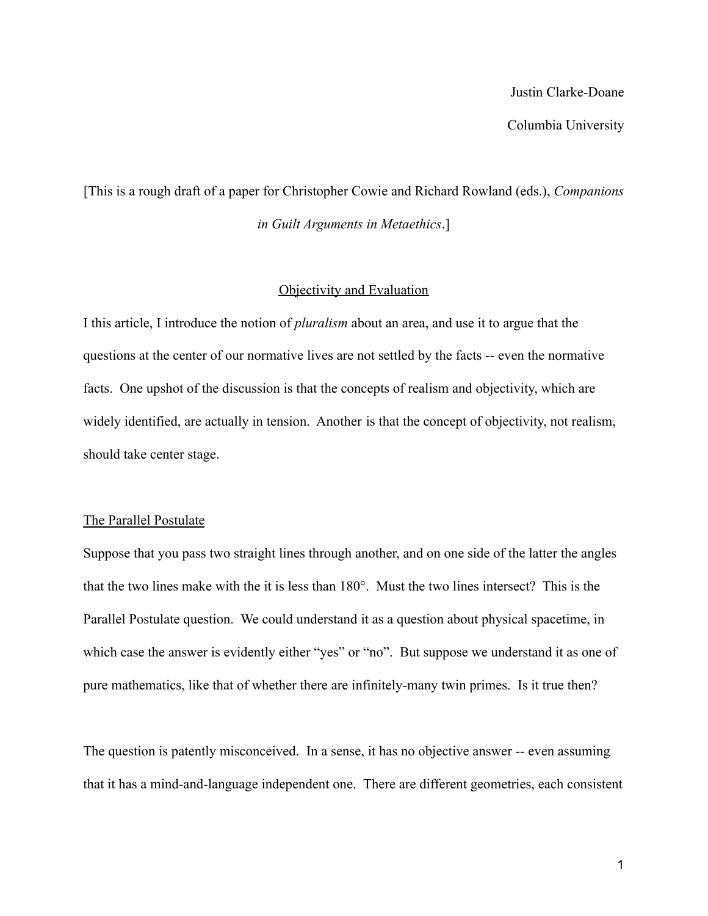# [This is a rough draft of a paper for Christopher Cowie and Richard Rowland (eds.), *Companions in Guilt Arguments in Metaethics*.]

#### Objectivity and Evaluation

I this article, I introduce the notion of *pluralism* about an area, and use it to argue that the questions at the center of our normative lives are not settled by the facts -- even the normative facts. One upshot of the discussion is that the concepts of realism and objectivity, which are widely identified, are actually in tension. Another is that the concept of objectivity, not realism, should take center stage.

## The Parallel Postulate

Suppose that you pass two straight lines through another, and on one side of the latter the angles that the two lines make with the it is less than 180°. Must the two lines intersect? This is the Parallel Postulate question. We could understand it as a question about physical spacetime, in which case the answer is evidently either "yes" or "no". But suppose we understand it as one of pure mathematics, like that of whether there are infinitely-many twin primes. Is it true then?

The question is patently misconceived. In a sense, it has no objective answer -- even assuming that it has a mind-and-language independent one. There are different geometries, each consistent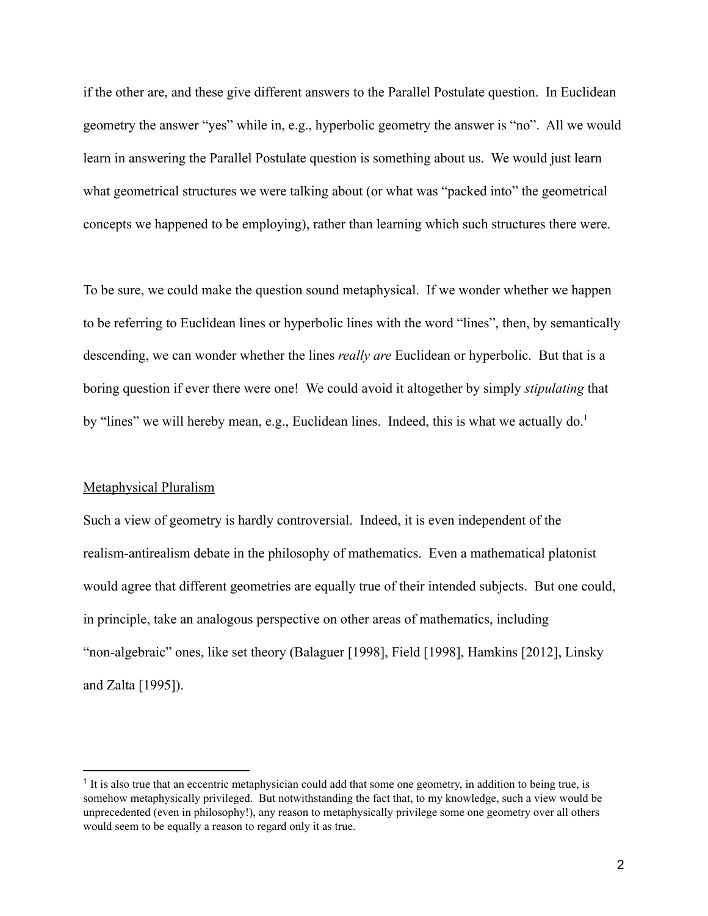if the other are, and these give different answers to the Parallel Postulate question. In Euclidean geometry the answer "yes" while in, e.g., hyperbolic geometry the answer is "no". All we would learn in answering the Parallel Postulate question is something about us. We would just learn what geometrical structures we were talking about (or what was "packed into" the geometrical concepts we happened to be employing), rather than learning which such structures there were.

To be sure, we could make the question sound metaphysical. If we wonder whether we happen to be referring to Euclidean lines or hyperbolic lines with the word "lines", then, by semantically descending, we can wonder whether the lines *really are* Euclidean or hyperbolic. But that is a boring question if ever there were one! We could avoid it altogether by simply *stipulating* that by "lines" we will hereby mean, e.g., Euclidean lines. Indeed, this is what we actually  $\delta$ .<sup>1</sup>

#### Metaphysical Pluralism

Such a view of geometry is hardly controversial. Indeed, it is even independent of the realism-antirealism debate in the philosophy of mathematics. Even a mathematical platonist would agree that different geometries are equally true of their intended subjects. But one could, in principle, take an analogous perspective on other areas of mathematics, including "non-algebraic" ones, like set theory (Balaguer [1998], Field [1998], Hamkins [2012], Linsky and Zalta [1995]).

<sup>&</sup>lt;sup>1</sup> It is also true that an eccentric metaphysician could add that some one geometry, in addition to being true, is somehow metaphysically privileged. But notwithstanding the fact that, to my knowledge, such a view would be unprecedented (even in philosophy!), any reason to metaphysically privilege some one geometry over all others would seem to be equally a reason to regard only it as true.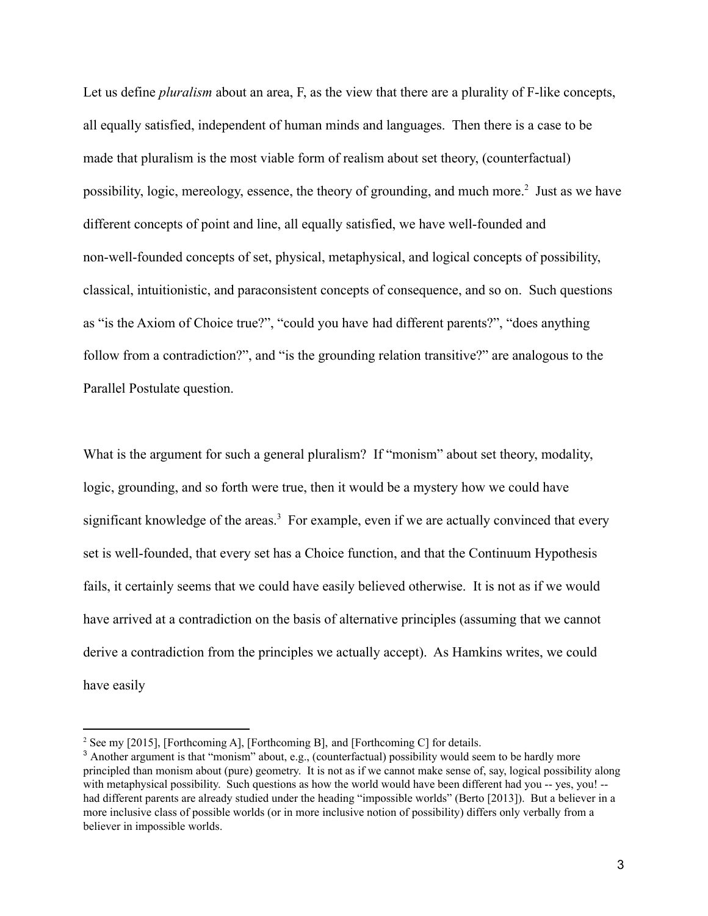Let us define *pluralism* about an area, F, as the view that there are a plurality of F-like concepts, all equally satisfied, independent of human minds and languages. Then there is a case to be made that pluralism is the most viable form of realism about set theory, (counterfactual) possibility, logic, mereology, essence, the theory of grounding, and much more.<sup>2</sup> Just as we have different concepts of point and line, all equally satisfied, we have well-founded and non-well-founded concepts of set, physical, metaphysical, and logical concepts of possibility, classical, intuitionistic, and paraconsistent concepts of consequence, and so on. Such questions as "is the Axiom of Choice true?", "could you have had different parents?", "does anything follow from a contradiction?", and "is the grounding relation transitive?" are analogous to the Parallel Postulate question.

What is the argument for such a general pluralism? If "monism" about set theory, modality, logic, grounding, and so forth were true, then it would be a mystery how we could have significant knowledge of the areas.<sup>3</sup> For example, even if we are actually convinced that every set is well-founded, that every set has a Choice function, and that the Continuum Hypothesis fails, it certainly seems that we could have easily believed otherwise. It is not as if we would have arrived at a contradiction on the basis of alternative principles (assuming that we cannot derive a contradiction from the principles we actually accept). As Hamkins writes, we could have easily

<sup>&</sup>lt;sup>2</sup> See my [2015], [Forthcoming A], [Forthcoming B], and [Forthcoming C] for details.

<sup>&</sup>lt;sup>3</sup> Another argument is that "monism" about, e.g., (counterfactual) possibility would seem to be hardly more principled than monism about (pure) geometry. It is not as if we cannot make sense of, say, logical possibility along with metaphysical possibility. Such questions as how the world would have been different had you -- yes, you! -had different parents are already studied under the heading "impossible worlds" (Berto [2013]). But a believer in a more inclusive class of possible worlds (or in more inclusive notion of possibility) differs only verbally from a believer in impossible worlds.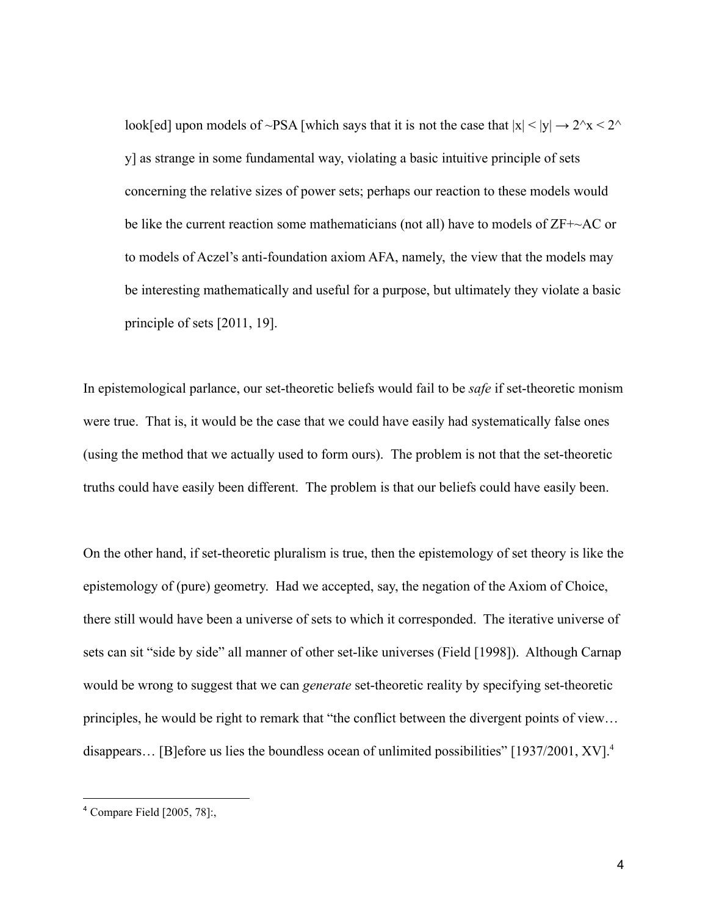look[ed] upon models of ~PSA [which says that it is not the case that  $|x| < |y| \rightarrow 2^x x < 2^x$ y] as strange in some fundamental way, violating a basic intuitive principle of sets concerning the relative sizes of power sets; perhaps our reaction to these models would be like the current reaction some mathematicians (not all) have to models of ZF+~AC or to models of Aczel's anti-foundation axiom AFA, namely, the view that the models may be interesting mathematically and useful for a purpose, but ultimately they violate a basic principle of sets [2011, 19].

In epistemological parlance, our set-theoretic beliefs would fail to be *safe* if set-theoretic monism were true. That is, it would be the case that we could have easily had systematically false ones (using the method that we actually used to form ours). The problem is not that the set-theoretic truths could have easily been different. The problem is that our beliefs could have easily been.

On the other hand, if set-theoretic pluralism is true, then the epistemology of set theory is like the epistemology of (pure) geometry. Had we accepted, say, the negation of the Axiom of Choice, there still would have been a universe of sets to which it corresponded. The iterative universe of sets can sit "side by side" all manner of other set-like universes (Field [1998]). Although Carnap would be wrong to suggest that we can *generate* set-theoretic reality by specifying set-theoretic principles, he would be right to remark that "the conflict between the divergent points of view… disappears... [B]efore us lies the boundless ocean of unlimited possibilities" [1937/2001, XV].<sup>4</sup>

<sup>4</sup> Compare Field [2005, 78]:,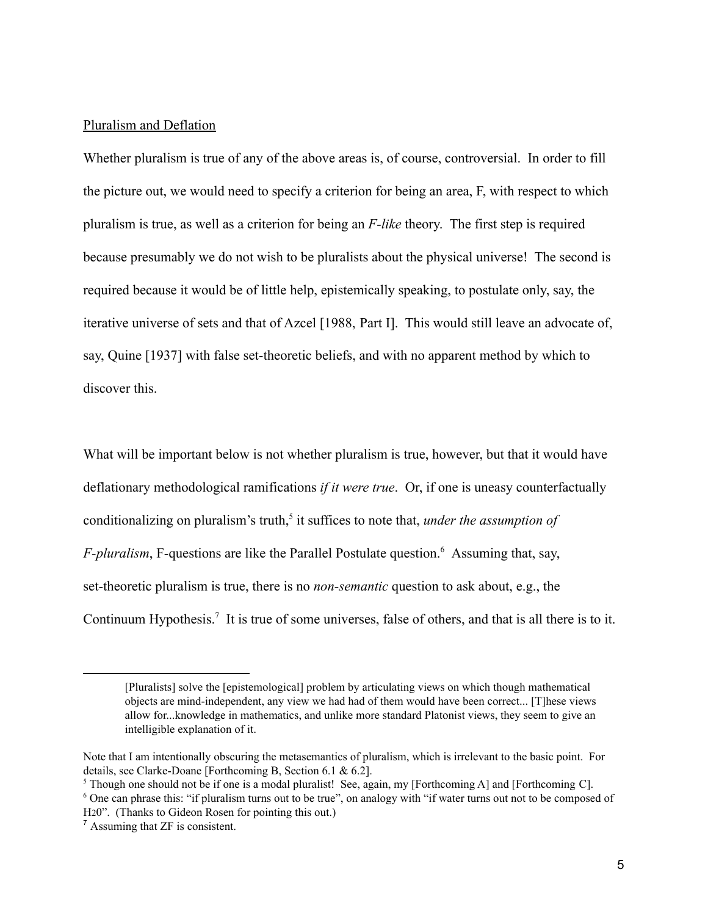## Pluralism and Deflation

Whether pluralism is true of any of the above areas is, of course, controversial. In order to fill the picture out, we would need to specify a criterion for being an area, F, with respect to which pluralism is true, as well as a criterion for being an *F-like* theory. The first step is required because presumably we do not wish to be pluralists about the physical universe! The second is required because it would be of little help, epistemically speaking, to postulate only, say, the iterative universe of sets and that of Azcel [1988, Part I]. This would still leave an advocate of, say, Quine [1937] with false set-theoretic beliefs, and with no apparent method by which to discover this.

What will be important below is not whether pluralism is true, however, but that it would have deflationary methodological ramifications *if it were true*. Or, if one is uneasy counterfactually conditionalizing on pluralism's truth,<sup>5</sup> it suffices to note that, *under the assumption of F-pluralism*, F-questions are like the Parallel Postulate question.<sup>6</sup> Assuming that, say, set-theoretic pluralism is true, there is no *non-semantic* question to ask about, e.g., the Continuum Hypothesis.<sup>7</sup> It is true of some universes, false of others, and that is all there is to it.

<sup>[</sup>Pluralists] solve the [epistemological] problem by articulating views on which though mathematical objects are mind-independent, any view we had had of them would have been correct... [T]hese views allow for...knowledge in mathematics, and unlike more standard Platonist views, they seem to give an intelligible explanation of it.

Note that I am intentionally obscuring the metasemantics of pluralism, which is irrelevant to the basic point. For details, see Clarke-Doane [Forthcoming B, Section 6.1 & 6.2].

<sup>&</sup>lt;sup>5</sup> Though one should not be if one is a modal pluralist! See, again, my [Forthcoming A] and [Forthcoming C].

<sup>&</sup>lt;sup>6</sup> One can phrase this: "if pluralism turns out to be true", on analogy with "if water turns out not to be composed of H20". (Thanks to Gideon Rosen for pointing this out.)

<sup>7</sup> Assuming that ZF is consistent.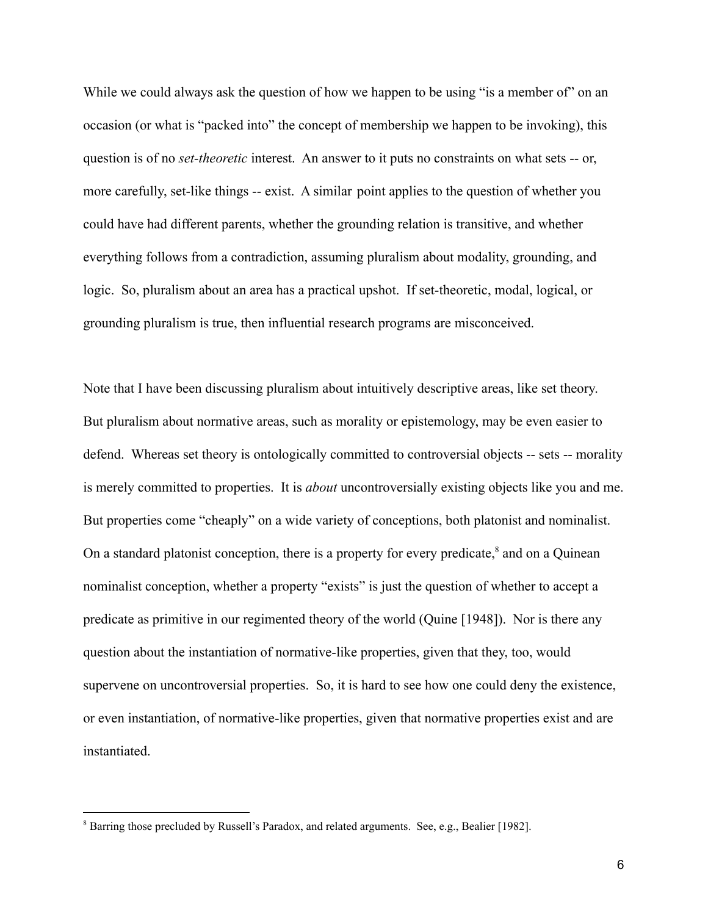While we could always ask the question of how we happen to be using "is a member of" on an occasion (or what is "packed into" the concept of membership we happen to be invoking), this question is of no *set-theoretic* interest. An answer to it puts no constraints on what sets -- or, more carefully, set-like things -- exist. A similar point applies to the question of whether you could have had different parents, whether the grounding relation is transitive, and whether everything follows from a contradiction, assuming pluralism about modality, grounding, and logic. So, pluralism about an area has a practical upshot. If set-theoretic, modal, logical, or grounding pluralism is true, then influential research programs are misconceived.

Note that I have been discussing pluralism about intuitively descriptive areas, like set theory. But pluralism about normative areas, such as morality or epistemology, may be even easier to defend. Whereas set theory is ontologically committed to controversial objects -- sets -- morality is merely committed to properties. It is *about* uncontroversially existing objects like you and me. But properties come "cheaply" on a wide variety of conceptions, both platonist and nominalist. On a standard platonist conception, there is a property for every predicate, $\delta$  and on a Quinean nominalist conception, whether a property "exists" is just the question of whether to accept a predicate as primitive in our regimented theory of the world (Quine [1948]). Nor is there any question about the instantiation of normative-like properties, given that they, too, would supervene on uncontroversial properties. So, it is hard to see how one could deny the existence, or even instantiation, of normative-like properties, given that normative properties exist and are instantiated.

<sup>8</sup> Barring those precluded by Russell's Paradox, and related arguments. See, e.g., Bealier [1982].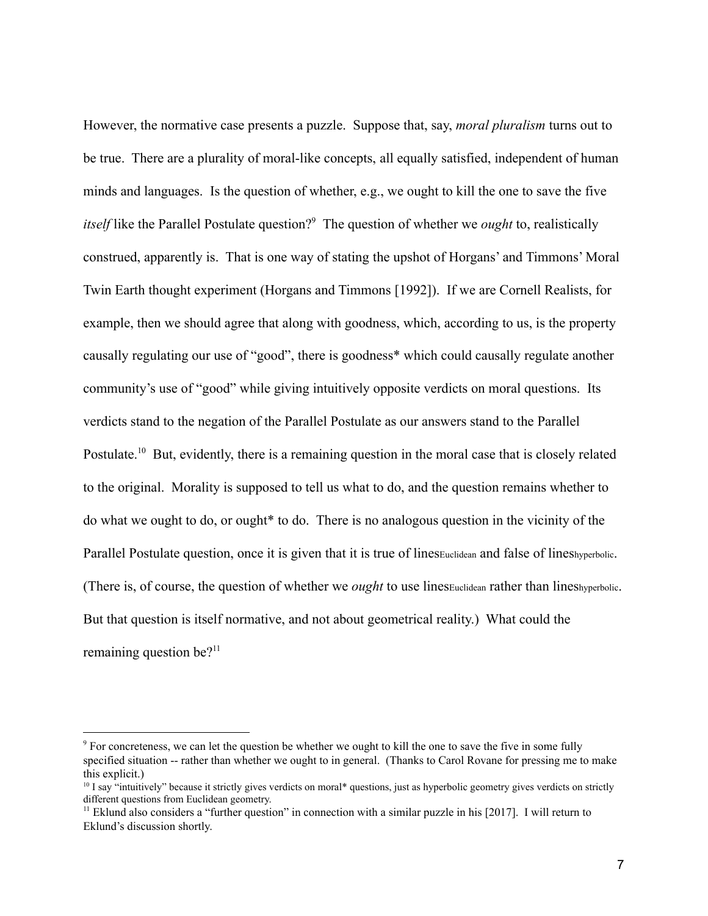However, the normative case presents a puzzle. Suppose that, say, *moral pluralism* turns out to be true. There are a plurality of moral-like concepts, all equally satisfied, independent of human minds and languages. Is the question of whether, e.g., we ought to kill the one to save the five *itself* like the Parallel Postulate question?<sup>9</sup> The question of whether we *ought* to, realistically construed, apparently is. That is one way of stating the upshot of Horgans' and Timmons' Moral Twin Earth thought experiment (Horgans and Timmons [1992]). If we are Cornell Realists, for example, then we should agree that along with goodness, which, according to us, is the property causally regulating our use of "good", there is goodness\* which could causally regulate another community's use of "good" while giving intuitively opposite verdicts on moral questions. Its verdicts stand to the negation of the Parallel Postulate as our answers stand to the Parallel Postulate.<sup>10</sup> But, evidently, there is a remaining question in the moral case that is closely related to the original. Morality is supposed to tell us what to do, and the question remains whether to do what we ought to do, or ought\* to do. There is no analogous question in the vicinity of the Parallel Postulate question, once it is given that it is true of linesEuclidean and false of lineshyperbolic. (There is, of course, the question of whether we *ought* to use linesEuclidean rather than lineshyperbolic. But that question is itself normative, and not about geometrical reality.) What could the remaining question be? $11$ 

<sup>9</sup> For concreteness, we can let the question be whether we ought to kill the one to save the five in some fully specified situation -- rather than whether we ought to in general. (Thanks to Carol Rovane for pressing me to make this explicit.)

<sup>&</sup>lt;sup>10</sup> I say "intuitively" because it strictly gives verdicts on moral\* questions, just as hyperbolic geometry gives verdicts on strictly different questions from Euclidean geometry.

<sup>&</sup>lt;sup>11</sup> Eklund also considers a "further question" in connection with a similar puzzle in his  $[2017]$ . I will return to Eklund's discussion shortly.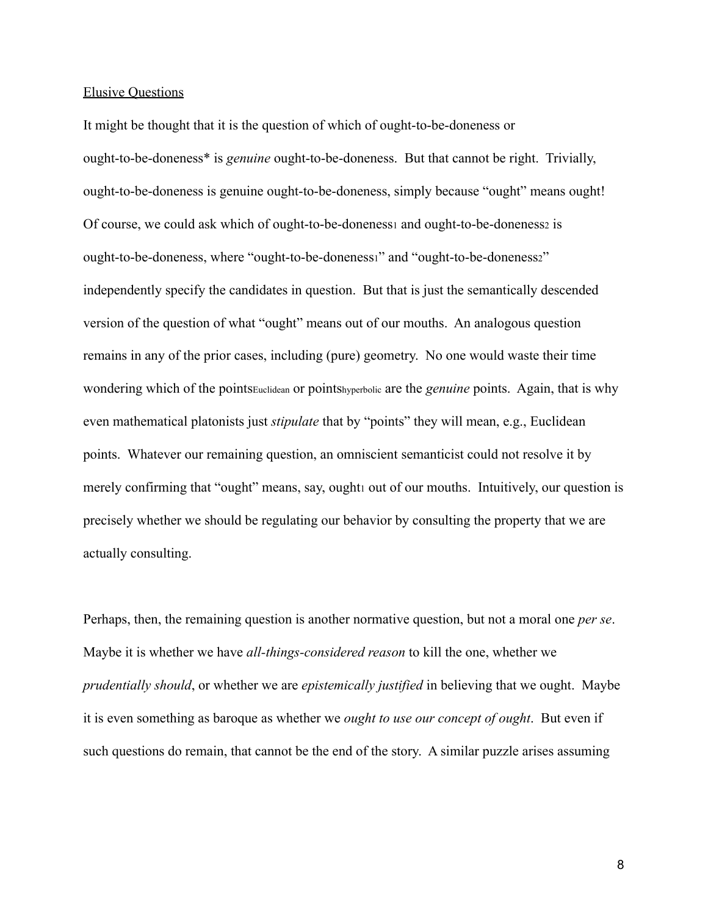#### Elusive Questions

It might be thought that it is the question of which of ought-to-be-doneness or ought-to-be-doneness\* is *genuine* ought-to-be-doneness. But that cannot be right. Trivially, ought-to-be-doneness is genuine ought-to-be-doneness, simply because "ought" means ought! Of course, we could ask which of ought-to-be-doneness<sub>1</sub> and ought-to-be-doneness<sub>2</sub> is ought-to-be-doneness, where "ought-to-be-doneness1" and "ought-to-be-doneness2" independently specify the candidates in question. But that is just the semantically descended version of the question of what "ought" means out of our mouths. An analogous question remains in any of the prior cases, including (pure) geometry. No one would waste their time wondering which of the pointsEuclidean or pointshyperbolic are the *genuine* points. Again, that is why even mathematical platonists just *stipulate* that by "points" they will mean, e.g., Euclidean points. Whatever our remaining question, an omniscient semanticist could not resolve it by merely confirming that "ought" means, say, ought<sub>1</sub> out of our mouths. Intuitively, our question is precisely whether we should be regulating our behavior by consulting the property that we are actually consulting.

Perhaps, then, the remaining question is another normative question, but not a moral one *per se*. Maybe it is whether we have *all-things-considered reason* to kill the one, whether we *prudentially should*, or whether we are *epistemically justified* in believing that we ought. Maybe it is even something as baroque as whether we *ought to use our concept of ought*. But even if such questions do remain, that cannot be the end of the story. A similar puzzle arises assuming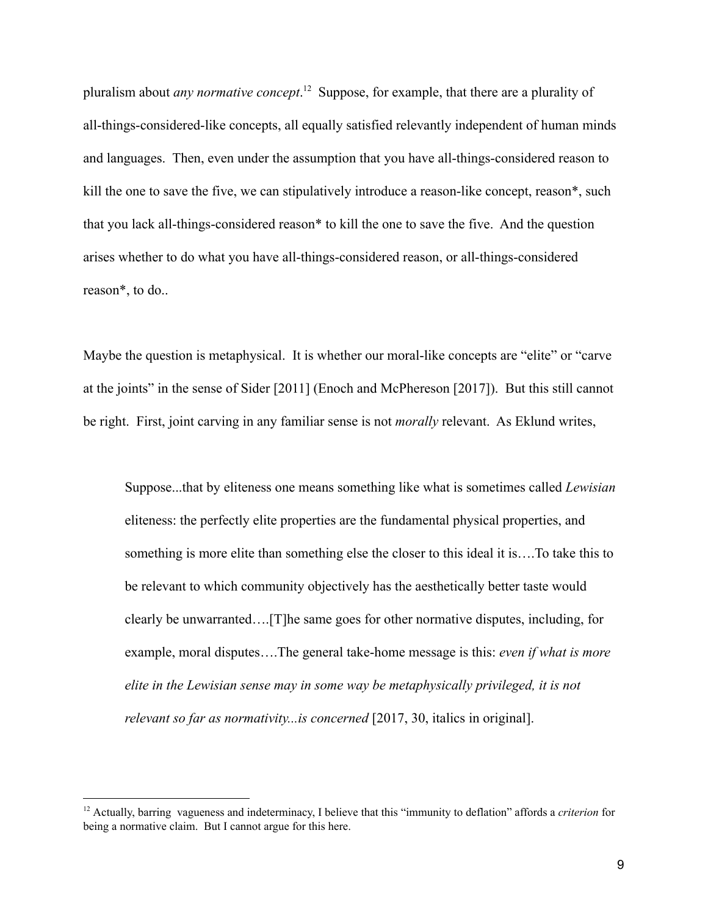pluralism about *any normative concept*.<sup>12</sup> Suppose, for example, that there are a plurality of all-things-considered-like concepts, all equally satisfied relevantly independent of human minds and languages. Then, even under the assumption that you have all-things-considered reason to kill the one to save the five, we can stipulatively introduce a reason-like concept, reason\*, such that you lack all-things-considered reason\* to kill the one to save the five. And the question arises whether to do what you have all-things-considered reason, or all-things-considered reason\*, to do..

Maybe the question is metaphysical. It is whether our moral-like concepts are "elite" or "carve at the joints" in the sense of Sider [2011] (Enoch and McPhereson [2017]). But this still cannot be right. First, joint carving in any familiar sense is not *morally* relevant. As Eklund writes,

Suppose...that by eliteness one means something like what is sometimes called *Lewisian* eliteness: the perfectly elite properties are the fundamental physical properties, and something is more elite than something else the closer to this ideal it is….To take this to be relevant to which community objectively has the aesthetically better taste would clearly be unwarranted….[T]he same goes for other normative disputes, including, for example, moral disputes….The general take-home message is this: *even if what is more elite in the Lewisian sense may in some way be metaphysically privileged, it is not relevant so far as normativity...is concerned* [2017, 30, italics in original].

<sup>12</sup> Actually, barring vagueness and indeterminacy, I believe that this "immunity to deflation" affords a *criterion* for being a normative claim. But I cannot argue for this here.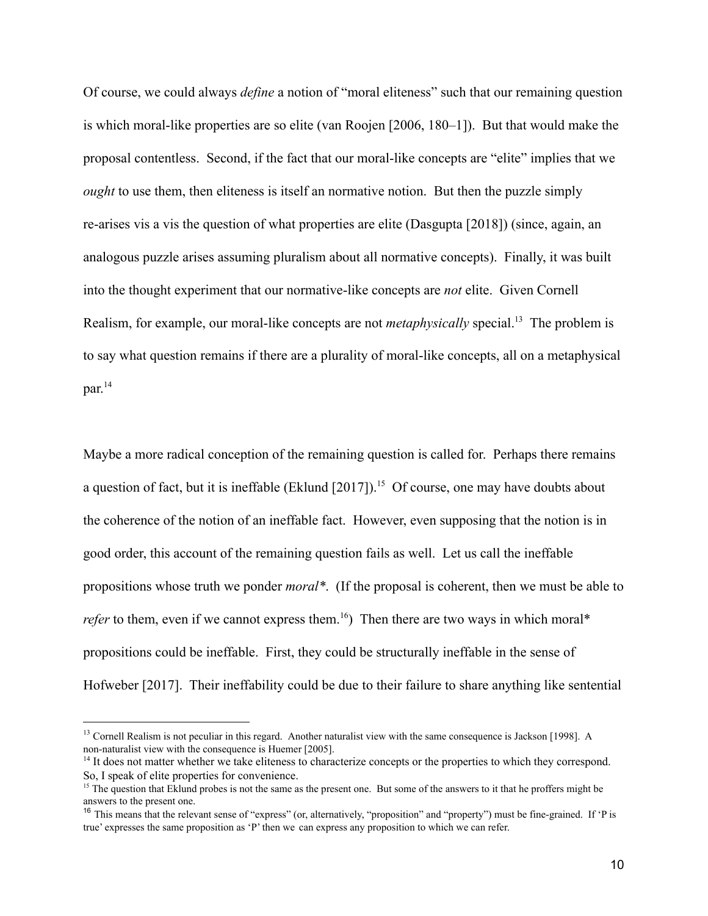Of course, we could always *define* a notion of "moral eliteness" such that our remaining question is which moral-like properties are so elite (van Roojen [2006, 180–1]). But that would make the proposal contentless. Second, if the fact that our moral-like concepts are "elite" implies that we *ought* to use them, then eliteness is itself an normative notion. But then the puzzle simply re-arises vis a vis the question of what properties are elite (Dasgupta [2018]) (since, again, an analogous puzzle arises assuming pluralism about all normative concepts). Finally, it was built into the thought experiment that our normative-like concepts are *not* elite. Given Cornell Realism, for example, our moral-like concepts are not *metaphysically* special.<sup>13</sup> The problem is to say what question remains if there are a plurality of moral-like concepts, all on a metaphysical par. 14

Maybe a more radical conception of the remaining question is called for. Perhaps there remains a question of fact, but it is ineffable (Eklund  $[2017]$ ).<sup>15</sup> Of course, one may have doubts about the coherence of the notion of an ineffable fact. However, even supposing that the notion is in good order, this account of the remaining question fails as well. Let us call the ineffable propositions whose truth we ponder *moral\**. (If the proposal is coherent, then we must be able to *refer* to them, even if we cannot express them.<sup>16</sup>) Then there are two ways in which moral\* propositions could be ineffable. First, they could be structurally ineffable in the sense of Hofweber [2017]. Their ineffability could be due to their failure to share anything like sentential

<sup>&</sup>lt;sup>13</sup> Cornell Realism is not peculiar in this regard. Another naturalist view with the same consequence is Jackson [1998]. A non-naturalist view with the consequence is Huemer [2005].

<sup>&</sup>lt;sup>14</sup> It does not matter whether we take eliteness to characterize concepts or the properties to which they correspond. So, I speak of elite properties for convenience.

<sup>&</sup>lt;sup>15</sup> The question that Eklund probes is not the same as the present one. But some of the answers to it that he proffers might be answers to the present one.

<sup>&</sup>lt;sup>16</sup> This means that the relevant sense of "express" (or, alternatively, "proposition" and "property") must be fine-grained. If 'P is true' expresses the same proposition as 'P' then we can express any proposition to which we can refer.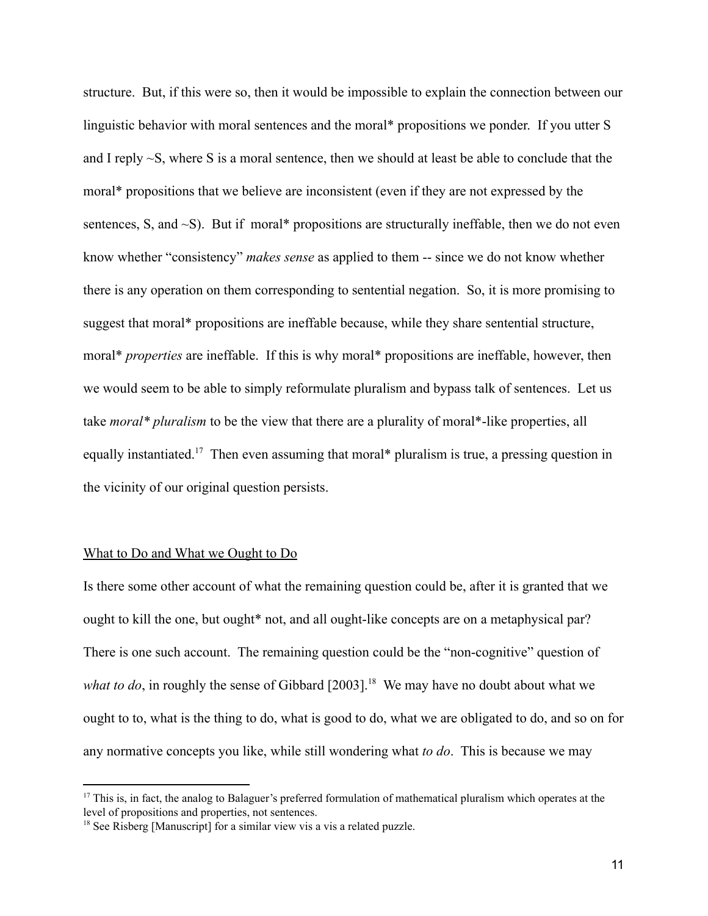structure. But, if this were so, then it would be impossible to explain the connection between our linguistic behavior with moral sentences and the moral\* propositions we ponder. If you utter S and I reply ~S, where S is a moral sentence, then we should at least be able to conclude that the moral\* propositions that we believe are inconsistent (even if they are not expressed by the sentences, S, and  $\sim$ S). But if moral\* propositions are structurally ineffable, then we do not even know whether "consistency" *makes sense* as applied to them -- since we do not know whether there is any operation on them corresponding to sentential negation. So, it is more promising to suggest that moral\* propositions are ineffable because, while they share sentential structure, moral\* *properties* are ineffable. If this is why moral\* propositions are ineffable, however, then we would seem to be able to simply reformulate pluralism and bypass talk of sentences. Let us take *moral\* pluralism* to be the view that there are a plurality of moral\*-like properties, all equally instantiated.<sup>17</sup> Then even assuming that moral\* pluralism is true, a pressing question in the vicinity of our original question persists.

## What to Do and What we Ought to Do

Is there some other account of what the remaining question could be, after it is granted that we ought to kill the one, but ought\* not, and all ought-like concepts are on a metaphysical par? There is one such account. The remaining question could be the "non-cognitive" question of *what to do*, in roughly the sense of Gibbard  $[2003]$ .<sup>18</sup> We may have no doubt about what we ought to to, what is the thing to do, what is good to do, what we are obligated to do, and so on for any normative concepts you like, while still wondering what *to do*. This is because we may

 $17$  This is, in fact, the analog to Balaguer's preferred formulation of mathematical pluralism which operates at the level of propositions and properties, not sentences.

<sup>&</sup>lt;sup>18</sup> See Risberg [Manuscript] for a similar view vis a vis a related puzzle.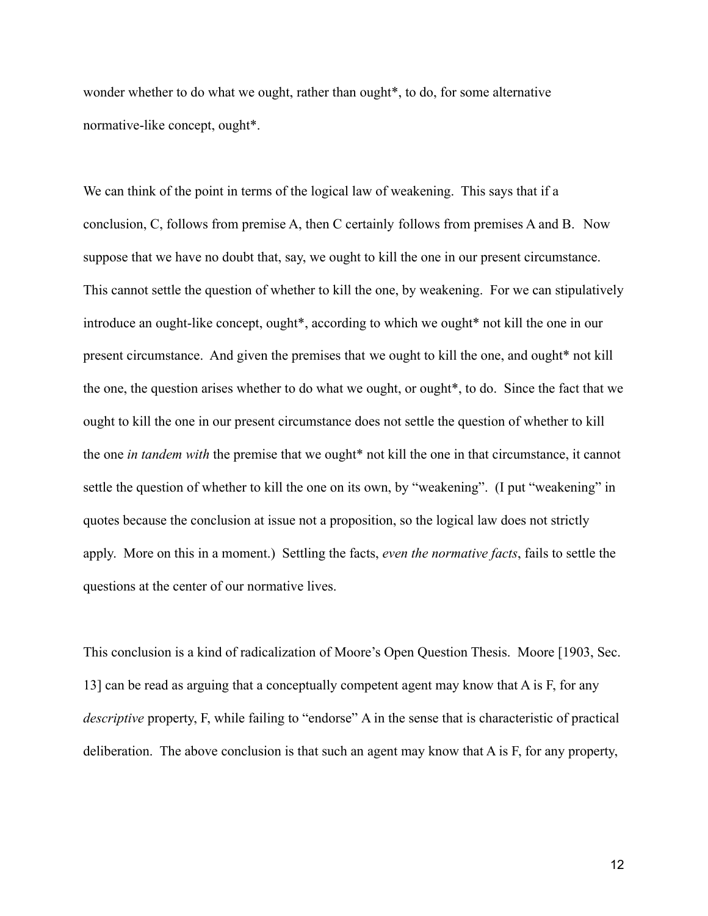wonder whether to do what we ought, rather than ought<sup>\*</sup>, to do, for some alternative normative-like concept, ought\*.

We can think of the point in terms of the logical law of weakening. This says that if a conclusion, C, follows from premise A, then C certainly follows from premises A and B. Now suppose that we have no doubt that, say, we ought to kill the one in our present circumstance. This cannot settle the question of whether to kill the one, by weakening. For we can stipulatively introduce an ought-like concept, ought\*, according to which we ought\* not kill the one in our present circumstance. And given the premises that we ought to kill the one, and ought\* not kill the one, the question arises whether to do what we ought, or ought\*, to do. Since the fact that we ought to kill the one in our present circumstance does not settle the question of whether to kill the one *in tandem with* the premise that we ought\* not kill the one in that circumstance, it cannot settle the question of whether to kill the one on its own, by "weakening". (I put "weakening" in quotes because the conclusion at issue not a proposition, so the logical law does not strictly apply. More on this in a moment.) Settling the facts, *even the normative facts*, fails to settle the questions at the center of our normative lives.

This conclusion is a kind of radicalization of Moore's Open Question Thesis. Moore [1903, Sec. 13] can be read as arguing that a conceptually competent agent may know that A is F, for any *descriptive* property, F, while failing to "endorse" A in the sense that is characteristic of practical deliberation. The above conclusion is that such an agent may know that A is F, for any property,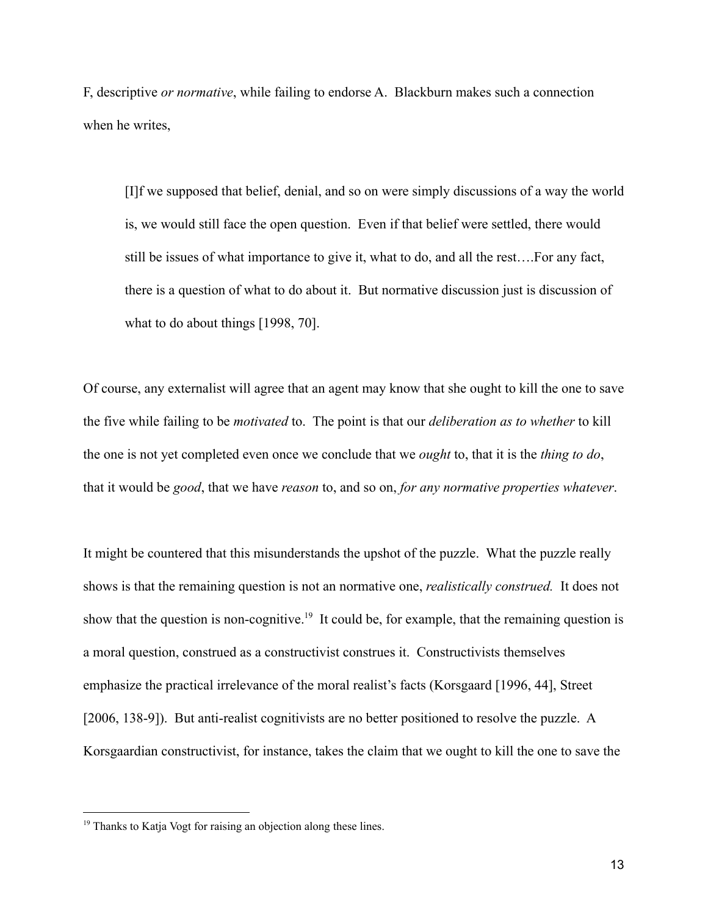F, descriptive *or normative*, while failing to endorse A. Blackburn makes such a connection when he writes,

[I]f we supposed that belief, denial, and so on were simply discussions of a way the world is, we would still face the open question. Even if that belief were settled, there would still be issues of what importance to give it, what to do, and all the rest….For any fact, there is a question of what to do about it. But normative discussion just is discussion of what to do about things [1998, 70].

Of course, any externalist will agree that an agent may know that she ought to kill the one to save the five while failing to be *motivated* to. The point is that our *deliberation as to whether* to kill the one is not yet completed even once we conclude that we *ought* to, that it is the *thing to do*, that it would be *good*, that we have *reason* to, and so on, *for any normative properties whatever*.

It might be countered that this misunderstands the upshot of the puzzle. What the puzzle really shows is that the remaining question is not an normative one, *realistically construed.* It does not show that the question is non-cognitive.<sup>19</sup> It could be, for example, that the remaining question is a moral question, construed as a constructivist construes it. Constructivists themselves emphasize the practical irrelevance of the moral realist's facts (Korsgaard [1996, 44], Street [2006, 138-9]). But anti-realist cognitivists are no better positioned to resolve the puzzle. A Korsgaardian constructivist, for instance, takes the claim that we ought to kill the one to save the

<sup>&</sup>lt;sup>19</sup> Thanks to Katja Vogt for raising an objection along these lines.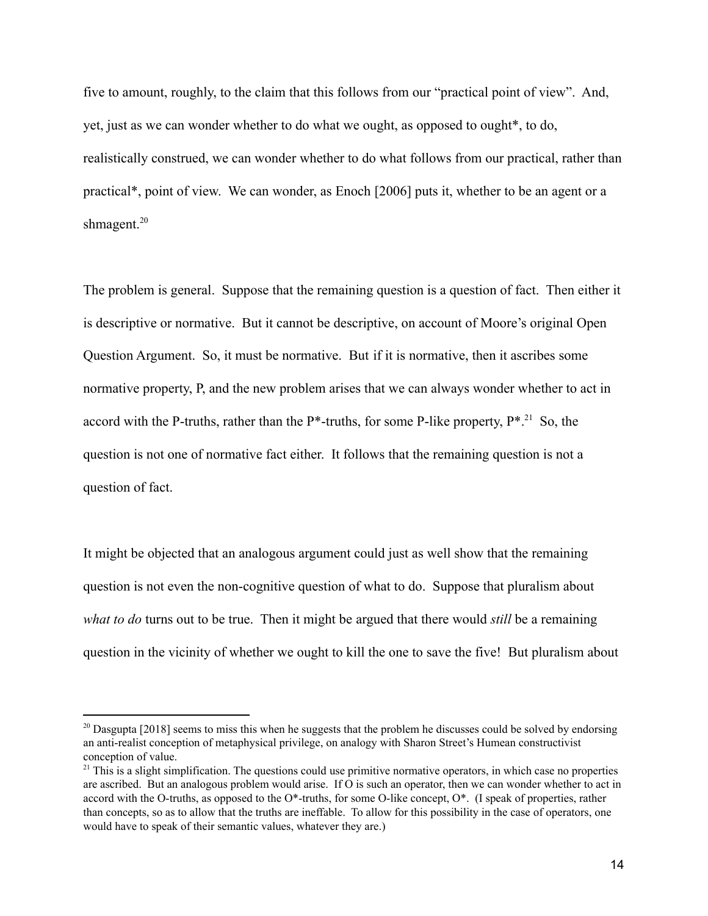five to amount, roughly, to the claim that this follows from our "practical point of view". And, yet, just as we can wonder whether to do what we ought, as opposed to ought\*, to do, realistically construed, we can wonder whether to do what follows from our practical, rather than practical\*, point of view. We can wonder, as Enoch [2006] puts it, whether to be an agent or a shmagent.<sup>20</sup>

The problem is general. Suppose that the remaining question is a question of fact. Then either it is descriptive or normative. But it cannot be descriptive, on account of Moore's original Open Question Argument. So, it must be normative. But if it is normative, then it ascribes some normative property, P, and the new problem arises that we can always wonder whether to act in accord with the P-truths, rather than the P<sup>\*</sup>-truths, for some P-like property,  $P^{*}$ .<sup>21</sup> So, the question is not one of normative fact either. It follows that the remaining question is not a question of fact.

It might be objected that an analogous argument could just as well show that the remaining question is not even the non-cognitive question of what to do. Suppose that pluralism about *what to do* turns out to be true. Then it might be argued that there would *still* be a remaining question in the vicinity of whether we ought to kill the one to save the five! But pluralism about

<sup>&</sup>lt;sup>20</sup> Dasgupta [2018] seems to miss this when he suggests that the problem he discusses could be solved by endorsing an anti-realist conception of metaphysical privilege, on analogy with Sharon Street's Humean constructivist conception of value.

<sup>&</sup>lt;sup>21</sup> This is a slight simplification. The questions could use primitive normative operators, in which case no properties are ascribed. But an analogous problem would arise. If O is such an operator, then we can wonder whether to act in accord with the O-truths, as opposed to the O\*-truths, for some O-like concept,  $O^*$ . (I speak of properties, rather than concepts, so as to allow that the truths are ineffable. To allow for this possibility in the case of operators, one would have to speak of their semantic values, whatever they are.)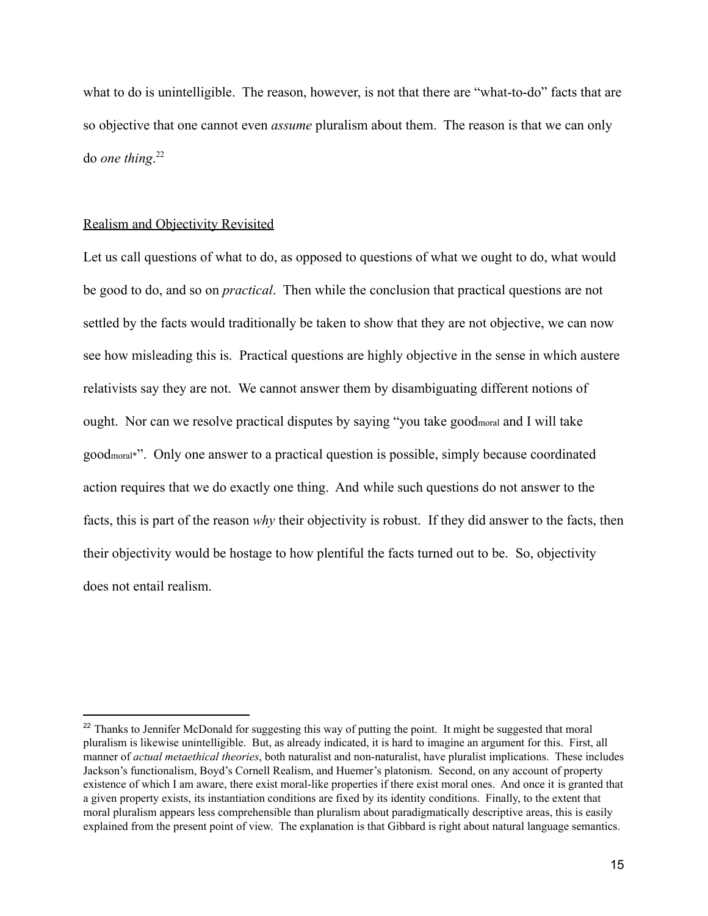what to do is unintelligible. The reason, however, is not that there are "what-to-do" facts that are so objective that one cannot even *assume* pluralism about them. The reason is that we can only do *one thing*. 22

#### Realism and Objectivity Revisited

Let us call questions of what to do, as opposed to questions of what we ought to do, what would be good to do, and so on *practical*. Then while the conclusion that practical questions are not settled by the facts would traditionally be taken to show that they are not objective, we can now see how misleading this is. Practical questions are highly objective in the sense in which austere relativists say they are not. We cannot answer them by disambiguating different notions of ought. Nor can we resolve practical disputes by saying "you take goodmoral and I will take goodmoral\*". Only one answer to a practical question is possible, simply because coordinated action requires that we do exactly one thing. And while such questions do not answer to the facts, this is part of the reason *why* their objectivity is robust. If they did answer to the facts, then their objectivity would be hostage to how plentiful the facts turned out to be. So, objectivity does not entail realism.

<sup>&</sup>lt;sup>22</sup> Thanks to Jennifer McDonald for suggesting this way of putting the point. It might be suggested that moral pluralism is likewise unintelligible. But, as already indicated, it is hard to imagine an argument for this. First, all manner of *actual metaethical theories*, both naturalist and non-naturalist, have pluralist implications. These includes Jackson's functionalism, Boyd's Cornell Realism, and Huemer's platonism. Second, on any account of property existence of which I am aware, there exist moral-like properties if there exist moral ones. And once it is granted that a given property exists, its instantiation conditions are fixed by its identity conditions. Finally, to the extent that moral pluralism appears less comprehensible than pluralism about paradigmatically descriptive areas, this is easily explained from the present point of view. The explanation is that Gibbard is right about natural language semantics.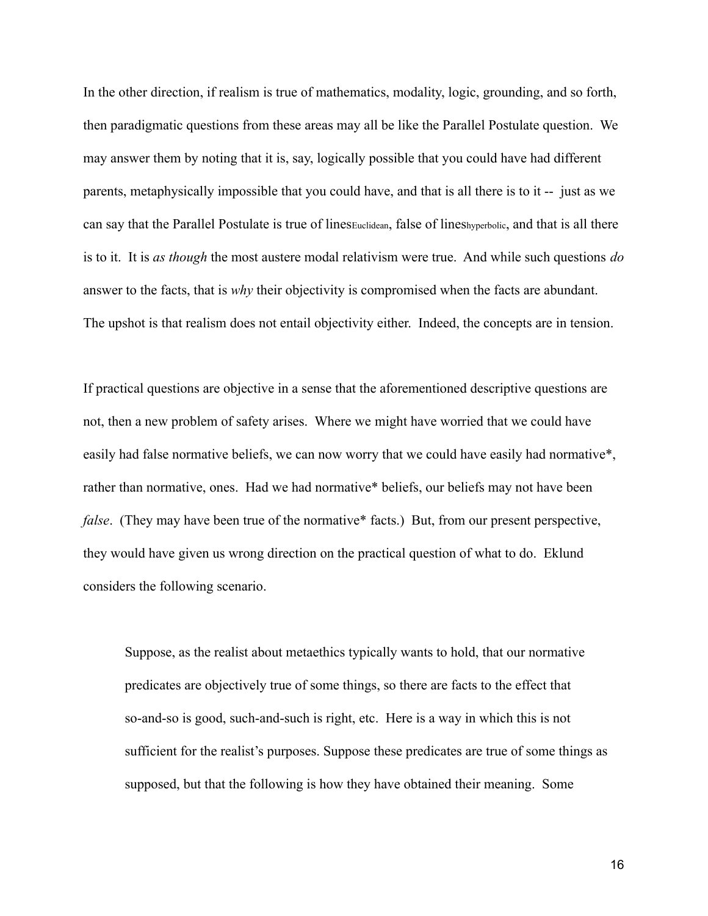In the other direction, if realism is true of mathematics, modality, logic, grounding, and so forth, then paradigmatic questions from these areas may all be like the Parallel Postulate question. We may answer them by noting that it is, say, logically possible that you could have had different parents, metaphysically impossible that you could have, and that is all there is to it -- just as we can say that the Parallel Postulate is true of linesEuclidean, false of lineshyperbolic, and that is all there is to it. It is *as though* the most austere modal relativism were true. And while such questions *do* answer to the facts, that is *why* their objectivity is compromised when the facts are abundant. The upshot is that realism does not entail objectivity either. Indeed, the concepts are in tension.

If practical questions are objective in a sense that the aforementioned descriptive questions are not, then a new problem of safety arises. Where we might have worried that we could have easily had false normative beliefs, we can now worry that we could have easily had normative\*, rather than normative, ones. Had we had normative\* beliefs, our beliefs may not have been *false.* (They may have been true of the normative\* facts.) But, from our present perspective, they would have given us wrong direction on the practical question of what to do. Eklund considers the following scenario.

Suppose, as the realist about metaethics typically wants to hold, that our normative predicates are objectively true of some things, so there are facts to the effect that so-and-so is good, such-and-such is right, etc. Here is a way in which this is not sufficient for the realist's purposes. Suppose these predicates are true of some things as supposed, but that the following is how they have obtained their meaning. Some

16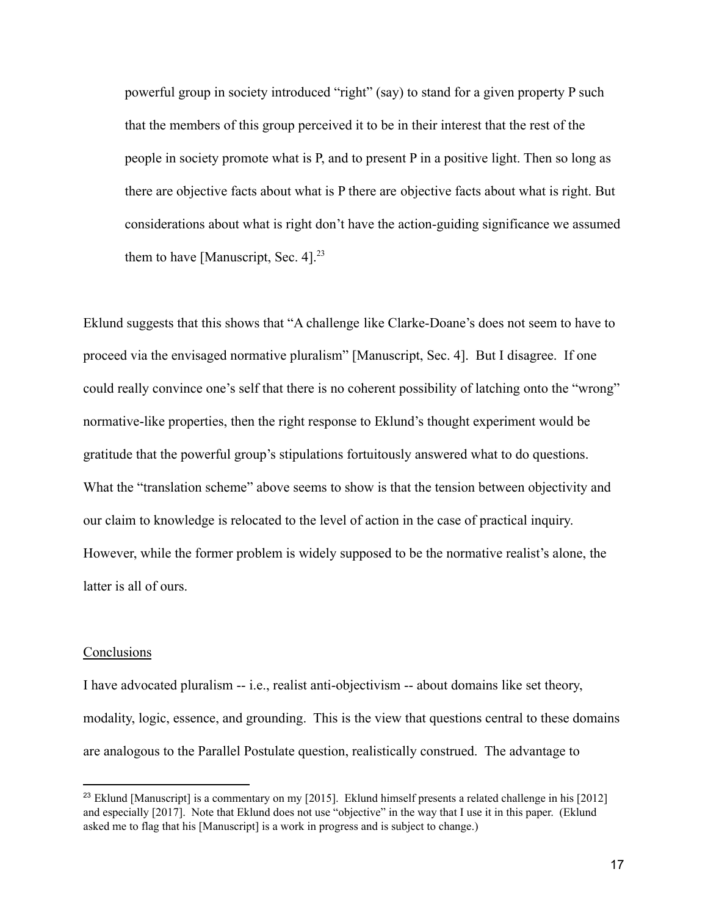powerful group in society introduced "right" (say) to stand for a given property P such that the members of this group perceived it to be in their interest that the rest of the people in society promote what is P, and to present P in a positive light. Then so long as there are objective facts about what is P there are objective facts about what is right. But considerations about what is right don't have the action-guiding significance we assumed them to have [Manuscript, Sec.  $4$ ]<sup>23</sup>

Eklund suggests that this shows that "A challenge like Clarke-Doane's does not seem to have to proceed via the envisaged normative pluralism" [Manuscript, Sec. 4]. But I disagree. If one could really convince one's self that there is no coherent possibility of latching onto the "wrong" normative-like properties, then the right response to Eklund's thought experiment would be gratitude that the powerful group's stipulations fortuitously answered what to do questions. What the "translation scheme" above seems to show is that the tension between objectivity and our claim to knowledge is relocated to the level of action in the case of practical inquiry. However, while the former problem is widely supposed to be the normative realist's alone, the latter is all of ours.

#### **Conclusions**

I have advocated pluralism -- i.e., realist anti-objectivism -- about domains like set theory, modality, logic, essence, and grounding. This is the view that questions central to these domains are analogous to the Parallel Postulate question, realistically construed. The advantage to

<sup>&</sup>lt;sup>23</sup> Eklund [Manuscript] is a commentary on my [2015]. Eklund himself presents a related challenge in his [2012] and especially [2017]. Note that Eklund does not use "objective" in the way that I use it in this paper. (Eklund asked me to flag that his [Manuscript] is a work in progress and is subject to change.)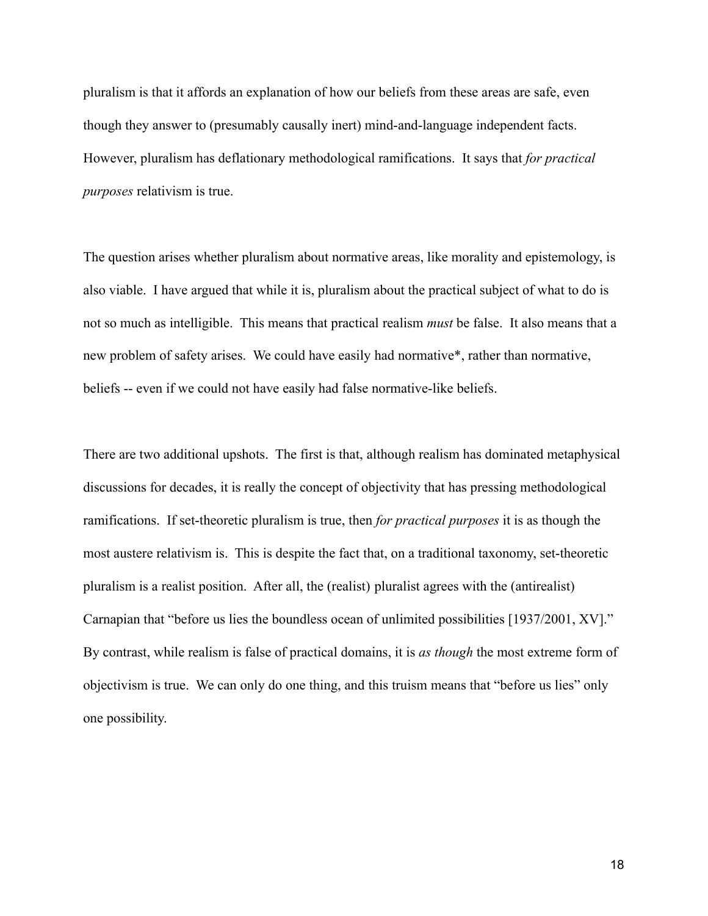pluralism is that it affords an explanation of how our beliefs from these areas are safe, even though they answer to (presumably causally inert) mind-and-language independent facts. However, pluralism has deflationary methodological ramifications. It says that *for practical purposes* relativism is true.

The question arises whether pluralism about normative areas, like morality and epistemology, is also viable. I have argued that while it is, pluralism about the practical subject of what to do is not so much as intelligible. This means that practical realism *must* be false. It also means that a new problem of safety arises. We could have easily had normative\*, rather than normative, beliefs -- even if we could not have easily had false normative-like beliefs.

There are two additional upshots. The first is that, although realism has dominated metaphysical discussions for decades, it is really the concept of objectivity that has pressing methodological ramifications. If set-theoretic pluralism is true, then *for practical purposes* it is as though the most austere relativism is. This is despite the fact that, on a traditional taxonomy, set-theoretic pluralism is a realist position. After all, the (realist) pluralist agrees with the (antirealist) Carnapian that "before us lies the boundless ocean of unlimited possibilities [1937/2001, XV]." By contrast, while realism is false of practical domains, it is *as though* the most extreme form of objectivism is true. We can only do one thing, and this truism means that "before us lies" only one possibility.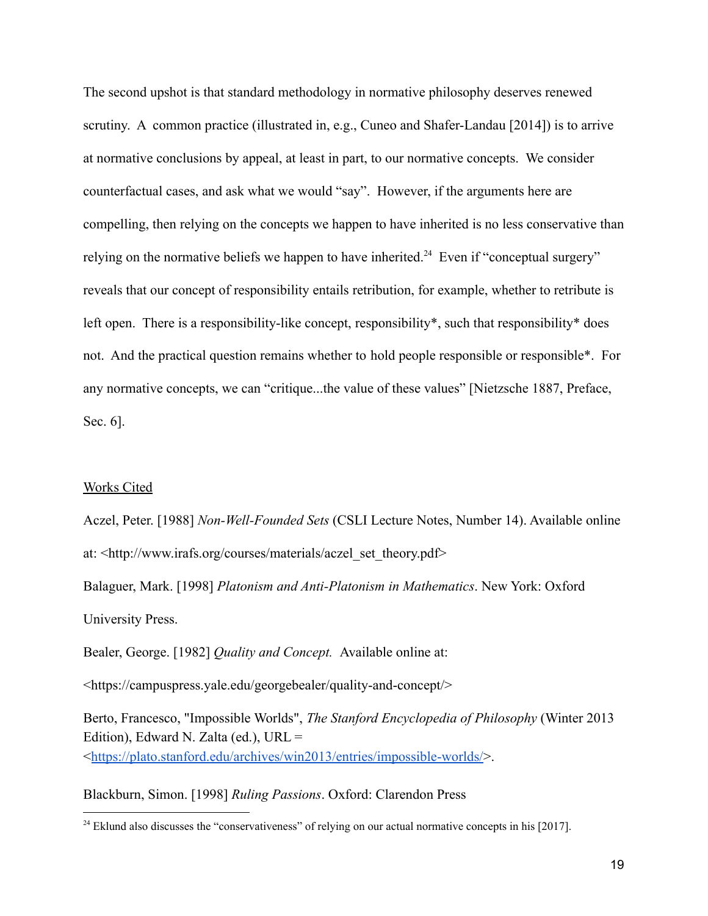The second upshot is that standard methodology in normative philosophy deserves renewed scrutiny. A common practice (illustrated in, e.g., Cuneo and Shafer-Landau [2014]) is to arrive at normative conclusions by appeal, at least in part, to our normative concepts. We consider counterfactual cases, and ask what we would "say". However, if the arguments here are compelling, then relying on the concepts we happen to have inherited is no less conservative than relying on the normative beliefs we happen to have inherited.<sup>24</sup> Even if "conceptual surgery" reveals that our concept of responsibility entails retribution, for example, whether to retribute is left open. There is a responsibility-like concept, responsibility\*, such that responsibility\* does not. And the practical question remains whether to hold people responsible or responsible\*. For any normative concepts, we can "critique...the value of these values" [Nietzsche 1887, Preface, Sec. 6].

### Works Cited

Aczel, Peter. [1988] *Non-Well-Founded Sets* (CSLI Lecture Notes, Number 14). Available online at: <http://www.irafs.org/courses/materials/aczel\_set\_theory.pdf> Balaguer, Mark. [1998] *Platonism and Anti-Platonism in Mathematics*. New York: Oxford University Press.

Bealer, George. [1982] *Quality and Concept.* Available online at:

<https://campuspress.yale.edu/georgebealer/quality-and-concept/>

Berto, Francesco, "Impossible Worlds", *The Stanford Encyclopedia of Philosophy* (Winter 2013 Edition), Edward N. Zalta (ed.), URL = <<https://plato.stanford.edu/archives/win2013/entries/impossible-worlds/>>.

Blackburn, Simon. [1998] *Ruling Passions*. Oxford: Clarendon Press

 $24$  Eklund also discusses the "conservativeness" of relying on our actual normative concepts in his [2017].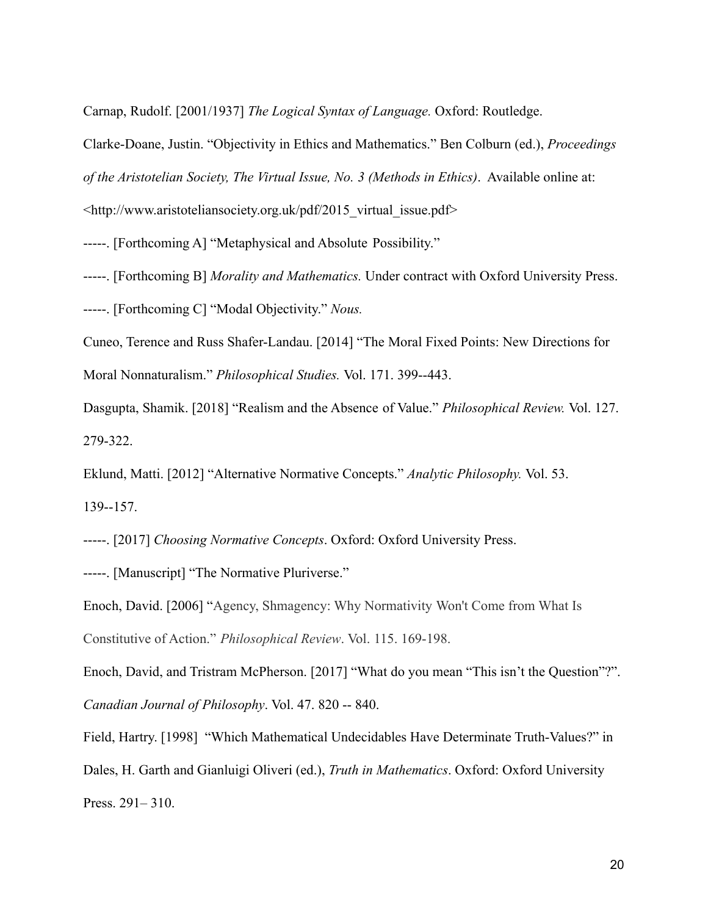Carnap, Rudolf. [2001/1937] *The Logical Syntax of Language.* Oxford: Routledge.

Clarke-Doane, Justin. "Objectivity in Ethics and Mathematics." Ben Colburn (ed.), *Proceedings*

*of the Aristotelian Society, The Virtual Issue, No. 3 (Methods in Ethics)*. Available online at:

<http://www.aristoteliansociety.org.uk/pdf/2015\_virtual\_issue.pdf>

-----. [Forthcoming A] "Metaphysical and Absolute Possibility."

-----. [Forthcoming B] *Morality and Mathematics.* Under contract with Oxford University Press.

-----. [Forthcoming C] "Modal Objectivity." *Nous.*

Cuneo, Terence and Russ Shafer-Landau. [2014] "The Moral Fixed Points: New Directions for Moral Nonnaturalism." *Philosophical Studies.* Vol. 171. 399--443.

Dasgupta, Shamik. [2018] "Realism and the Absence of Value." *Philosophical Review.* Vol. 127. 279-322.

Eklund, Matti. [2012] "Alternative Normative Concepts." *Analytic Philosophy.* Vol. 53. 139--157.

-----. [2017] *Choosing Normative Concepts*. Oxford: Oxford University Press.

-----. [Manuscript] "The Normative Pluriverse."

Enoch, David. [2006] "Agency, Shmagency: Why Normativity Won't Come from What Is Constitutive of Action." *Philosophical Review*. Vol. 115. 169-198.

Enoch, David, and Tristram McPherson. [2017] "What do you mean "This isn't the Question"?". *Canadian Journal of Philosophy*. Vol. 47. 820 -- 840.

Field, Hartry. [1998] "Which Mathematical Undecidables Have Determinate Truth-Values?" in Dales, H. Garth and Gianluigi Oliveri (ed.), *Truth in Mathematics*. Oxford: Oxford University Press. 291– 310.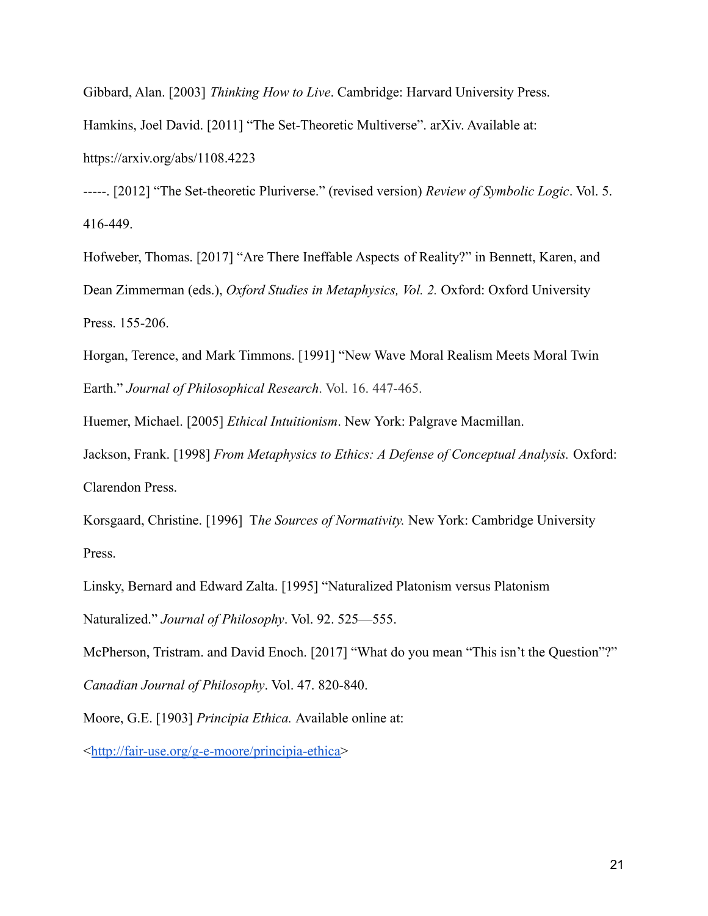Gibbard, Alan. [2003] *Thinking How to Live*. Cambridge: Harvard University Press.

Hamkins, Joel David. [2011] "The Set-Theoretic Multiverse". arXiv. Available at:

https://arxiv.org/abs/1108.4223

-----. [2012] "The Set-theoretic Pluriverse." (revised version) *Review of Symbolic Logic*. Vol. 5. 416-449.

Hofweber, Thomas. [2017] "Are There Ineffable Aspects of Reality?" in Bennett, Karen, and Dean Zimmerman (eds.), *Oxford Studies in Metaphysics, Vol. 2.* Oxford: Oxford University Press. 155-206.

Horgan, Terence, and Mark Timmons. [1991] "New Wave Moral Realism Meets Moral Twin Earth." *Journal of Philosophical Research*. Vol. 16. 447-465.

Huemer, Michael. [2005] *Ethical Intuitionism*. New York: Palgrave Macmillan.

Jackson, Frank. [1998] *From Metaphysics to Ethics: A Defense of Conceptual Analysis.* Oxford: Clarendon Press.

Korsgaard, Christine. [1996] T*he Sources of Normativity.* New York: Cambridge University Press.

Linsky, Bernard and Edward Zalta. [1995] "Naturalized Platonism versus Platonism Naturalized." *Journal of Philosophy*. Vol. 92. 525—555.

McPherson, Tristram. and David Enoch. [2017] "What do you mean "This isn't the Question"?" *Canadian Journal of Philosophy*. Vol. 47. 820-840.

Moore, G.E. [1903] *Principia Ethica.* Available online at:

<[http://fair-use.org/g-e-moore/principia-ethica>](http://fair-use.org/g-e-moore/principia-ethica)